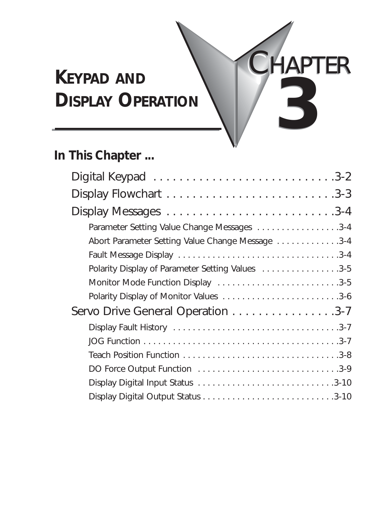# **KEYPAD AND DISPLAY OPERATION 3**

# **In This Chapter ...**

| Parameter Setting Value Change Messages 3-4      |
|--------------------------------------------------|
| Abort Parameter Setting Value Change Message 3-4 |
|                                                  |
| Polarity Display of Parameter Setting Values 3-5 |
| Monitor Mode Function Display 3-5                |
| Polarity Display of Monitor Values 3-6           |
| Servo Drive General Operation 3-7                |
|                                                  |
|                                                  |
|                                                  |
| DO Force Output Function 3-9                     |
|                                                  |
|                                                  |

CHAPTER CHAPTER

**3**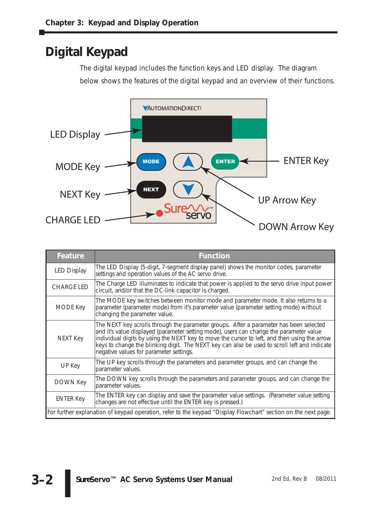## **Digital Keypad**

The digital keypad includes the function keys and LED display. The diagram below shows the features of the digital keypad and an overview of their functions.



| Feature                                                                                                        | <b>Function</b>                                                                                                                                                                                                                                                                                                                                                                                                              |  |
|----------------------------------------------------------------------------------------------------------------|------------------------------------------------------------------------------------------------------------------------------------------------------------------------------------------------------------------------------------------------------------------------------------------------------------------------------------------------------------------------------------------------------------------------------|--|
| <b>LED Display</b>                                                                                             | The LED Display (5-digit, 7-segment display panel) shows the monitor codes, parameter<br>settings and operation values of the AC servo drive.                                                                                                                                                                                                                                                                                |  |
| <b>CHARGE LED</b>                                                                                              | The Charge LED illuminates to indicate that power is applied to the servo drive input power<br>circuit, and/or that the DC-link capacitor is charged.                                                                                                                                                                                                                                                                        |  |
| MODE Key                                                                                                       | The MODE key switches between monitor mode and parameter mode. It also returns to a<br>parameter (parameter mode) from it's parameter value (parameter setting mode) without<br>changing the parameter value.                                                                                                                                                                                                                |  |
| NEXT Key                                                                                                       | The NEXT key scrolls through the parameter groups. After a parameter has been selected<br>and it's value displayed (parameter setting mode), users can change the parameter value<br>individual digits by using the NEXT key to move the cursor to left, and then using the arrow<br>keys to change the blinking digit. The NEXT key can also be used to scroll left and indicate<br>negative values for parameter settings. |  |
| UP Key                                                                                                         | The UP key scrolls through the parameters and parameter groups, and can change the<br>parameter values.                                                                                                                                                                                                                                                                                                                      |  |
| <b>DOWN Key</b>                                                                                                | The DOWN key scrolls through the parameters and parameter groups, and can change the<br>parameter values.                                                                                                                                                                                                                                                                                                                    |  |
| <b>ENTER Key</b>                                                                                               | The ENTER key can display and save the parameter value settings. (Parameter value setting<br>changes are not effective until the ENTER key is pressed.)                                                                                                                                                                                                                                                                      |  |
| For further explanation of keypad operation, refer to the keypad "Display Flowchart" section on the next page. |                                                                                                                                                                                                                                                                                                                                                                                                                              |  |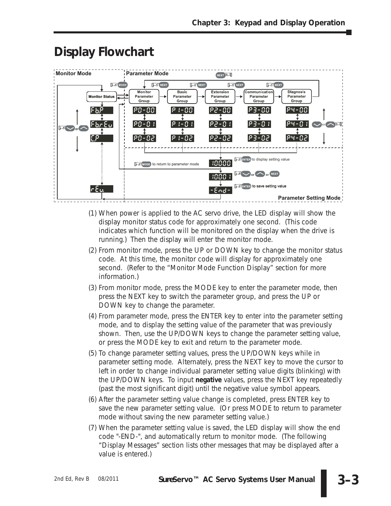| <b>Monitor Mode</b>                                                                | <b>Parameter Mode</b>                                                                          | NEXT <b>2-1</b>                                                                                                                                                                                                                                                                                                                                                             |  |
|------------------------------------------------------------------------------------|------------------------------------------------------------------------------------------------|-----------------------------------------------------------------------------------------------------------------------------------------------------------------------------------------------------------------------------------------------------------------------------------------------------------------------------------------------------------------------------|--|
| <b>Monitor Status</b><br>۹۵,۹<br> FbrEul<br>$M_{\odot}$ or $\sim$<br>$\mathsf{E}P$ | S MODE<br><b>INEXT</b><br><b>Monitor</b><br>Parameter<br>Group<br>PO-00<br>$PQ - Q +$<br>PO-02 | <b>S</b> NEXT<br><b>INEXT</b><br><b>INEXT</b><br>(Communication)<br><b>Dlagnosis</b><br><b>Basic</b><br>Extension<br>Parameter<br>Parameter<br>Parameter<br>Parameter<br>Group<br>Group<br>Group<br>Group<br> P3-00<br>$P4 - 00$<br>P 1-00<br> P2-00 <br>$P4 - 0$ :<br>$P := G$ :<br> P2-0 I <br>123-0 I<br>$\sim$ or $\sim$ 2-1<br>23-05<br>P4-02<br>  92 - 02<br>$P + 02$ |  |
| $\sigma$ E a.                                                                      | <b>NODE</b> to return to parameter mode                                                        | <b>EXENTER</b> to display setting value<br>10000,<br>$H_s \sim$ or $\sim$ or NEXT<br>$1000 +$<br><b>NENTER</b> to save setting value<br>$-6nd -$                                                                                                                                                                                                                            |  |
|                                                                                    |                                                                                                | <b>Parameter Setting Mode</b>                                                                                                                                                                                                                                                                                                                                               |  |

### **Display Flowchart**

- (1) When power is applied to the AC servo drive, the LED display will show the display monitor status code for approximately one second. (This code indicates which function will be monitored on the display when the drive is running.) Then the display will enter the monitor mode.
- (2) From monitor mode, press the UP or DOWN key to change the monitor status code. At this time, the monitor code will display for approximately one second. (Refer to the "Monitor Mode Function Display" section for more information.)
- (3) From monitor mode, press the MODE key to enter the parameter mode, then press the NEXT key to switch the parameter group, and press the UP or DOWN key to change the parameter.
- (4) From parameter mode, press the ENTER key to enter into the parameter setting mode, and to display the setting value of the parameter that was previously shown. Then, use the UP/DOWN keys to change the parameter setting value, or press the MODE key to exit and return to the parameter mode.
- (5) To change parameter setting values, press the UP/DOWN keys while in parameter setting mode. Alternately, press the NEXT key to move the cursor to left in order to change individual parameter setting value digits (blinking) with the UP/DOWN keys. To input **negative** values, press the NEXT key repeatedly (past the most significant digit) until the negative value symbol appears.
- (6) After the parameter setting value change is completed, press ENTER key to save the new parameter setting value. (Or press MODE to return to parameter mode without saving the new parameter setting value.)
- (7) When the parameter setting value is saved, the LED display will show the end code "-END-", and automatically return to monitor mode. (The following "Display Messages" section lists other messages that may be displayed after a value is entered.)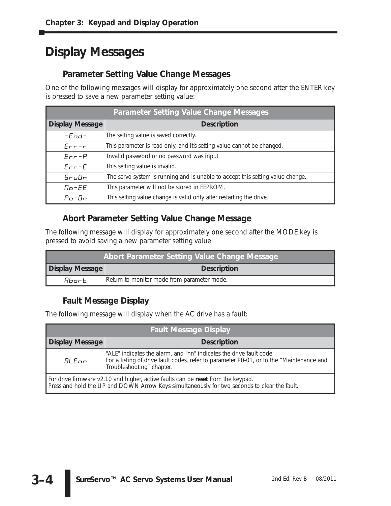## **Display Messages**

#### **Parameter Setting Value Change Messages**

One of the following messages will display for approximately one second after the ENTER key is pressed to save a new parameter setting value:

| <b>Parameter Setting Value Change Messages</b> |                                                                                |  |
|------------------------------------------------|--------------------------------------------------------------------------------|--|
| <b>Display Message</b>                         | <b>Description</b>                                                             |  |
| $-$ <i>End</i> $-$                             | The setting value is saved correctly.                                          |  |
| $Err-r$                                        | This parameter is read only, and it's setting value cannot be changed.         |  |
| $Err-P$                                        | Invalid password or no password was input.                                     |  |
| $Err-L$                                        | This setting value is invalid.                                                 |  |
| <i>SruDn</i>                                   | The servo system is running and is unable to accept this setting value change. |  |
| $\Pi$ <sub>o</sub> -EE                         | This parameter will not be stored in EEPROM.                                   |  |
| $P0$ -Dn                                       | This setting value change is valid only after restarting the drive.            |  |

#### **Abort Parameter Setting Value Change Message**

The following message will display for approximately one second after the MODE key is pressed to avoid saving a new parameter setting value:

| Abort Parameter Setting Value Change Message |                                             |  |
|----------------------------------------------|---------------------------------------------|--|
| <b>Display Message</b>                       | <b>Description</b>                          |  |
| <i>Rbort</i>                                 | Return to monitor mode from parameter mode. |  |

#### **Fault Message Display**

The following message will display when the AC drive has a fault:

| <b>Fault Message Display</b>                                                                                                                                                     |                                                                                                                                                                                              |  |
|----------------------------------------------------------------------------------------------------------------------------------------------------------------------------------|----------------------------------------------------------------------------------------------------------------------------------------------------------------------------------------------|--|
| <b>Display Message</b><br><b>Description</b>                                                                                                                                     |                                                                                                                                                                                              |  |
| ALEnn                                                                                                                                                                            | "ALE" indicates the alarm, and "nn" indicates the drive fault code.<br>For a listing of drive fault codes, refer to parameter P0-01, or to the "Maintenance and<br>Troubleshooting" chapter. |  |
| For drive firmware v2.10 and higher, active faults can be reset from the keypad.<br>Press and hold the UP and DOWN Arrow Keys simultaneously for two seconds to clear the fault. |                                                                                                                                                                                              |  |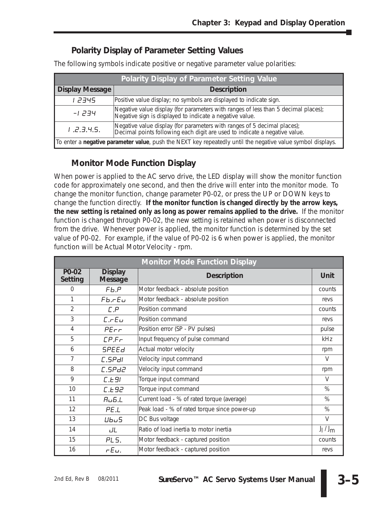#### **Polarity Display of Parameter Setting Values**

The following symbols indicate positive or negative parameter value polarities:

| <b>Polarity Display of Parameter Setting Value</b>                                                                  |                                                                                                                                                        |  |
|---------------------------------------------------------------------------------------------------------------------|--------------------------------------------------------------------------------------------------------------------------------------------------------|--|
| <b>Display Message</b>                                                                                              | <b>Description</b>                                                                                                                                     |  |
| 1 2345                                                                                                              | Positive value display; no symbols are displayed to indicate sign.                                                                                     |  |
| -1 234                                                                                                              | Negative value display (for parameters with ranges of less than 5 decimal places);<br>Negative sign is displayed to indicate a negative value.         |  |
| 1.2.3.4.5.                                                                                                          | Negative value display (for parameters with ranges of 5 decimal places);<br>Decimal points following each digit are used to indicate a negative value. |  |
| To enter a <i>negative parameter value</i> , push the NEXT key repeatedly until the negative value symbol displays. |                                                                                                                                                        |  |

#### **Monitor Mode Function Display**

When power is applied to the AC servo drive, the LED display will show the monitor function code for approximately one second, and then the drive will enter into the monitor mode. To change the monitor function, change parameter P0-02, or press the UP or DOWN keys to change the function directly. **If the monitor function is changed directly by the arrow keys, the new setting is retained only as long as power remains applied to the drive.** If the monitor function is changed through P0-02, the new setting is retained when power is disconnected from the drive. Whenever power is applied, the monitor function is determined by the set value of P0-02. For example, if the value of P0-02 is 6 when power is applied, the monitor function will be Actual Motor Velocity - rpm.

| <b>Monitor Mode Function Display</b> |                                  |                                              |             |
|--------------------------------------|----------------------------------|----------------------------------------------|-------------|
| P0-02<br>Setting                     | <b>Display</b><br><b>Message</b> | <b>Description</b>                           | Unit        |
| $\Omega$                             | Fb.P                             | Motor feedback - absolute position           | counts      |
| 1                                    | $Fb.$ $FEu$                      | Motor feedback - absolute position           | revs        |
| $\overline{2}$                       | L.P                              | Position command                             | counts      |
| 3                                    | $L.$ $FLu$                       | Position command                             | revs        |
| 4                                    | $P_{E\cap r}$                    | Position error (SP - PV pulses)              | pulse       |
| 5                                    | LP.F                             | Input frequency of pulse command             | kHz         |
| 6                                    | <b>SPEEd</b>                     | Actual motor velocity                        | rpm         |
| $\overline{7}$                       | C.SPdl                           | Velocity input command                       | V           |
| 8                                    | C.SPd2                           | Velocity input command                       | rpm         |
| 9                                    | L.E.91                           | Torque input command                         | $\vee$      |
| 10                                   | L.E92                            | Torque input command                         | %           |
| 11                                   | H <sub>U</sub> 5.L               | Current load - % of rated torque (average)   | $\%$        |
| 12                                   | PE.L                             | Peak load - % of rated torque since power-up | $\%$        |
| 13                                   | Ubu5                             | DC Bus voltage                               | $\vee$      |
| 14                                   | JL                               | Ratio of load inertia to motor inertia       | $J_1 / J_m$ |
| 15                                   | PL <sub>5</sub> .                | Motor feedback - captured position           | counts      |
| 16                                   | $rE$ u.                          | Motor feedback - captured position           | revs        |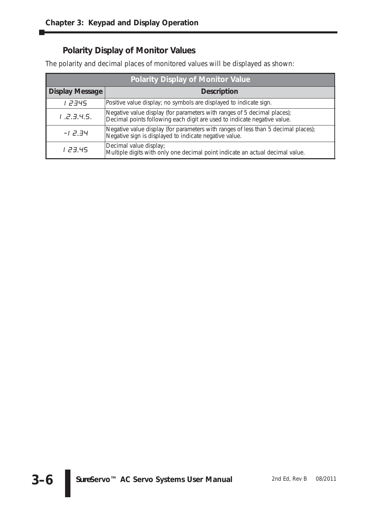### **Polarity Display of Monitor Values**

The polarity and decimal places of monitored values will be displayed as shown:

| <b>Polarity Display of Monitor Value</b> |                                                                                                                                                      |  |
|------------------------------------------|------------------------------------------------------------------------------------------------------------------------------------------------------|--|
| <b>Display Message</b>                   | <b>Description</b>                                                                                                                                   |  |
| 1 2345                                   | Positive value display; no symbols are displayed to indicate sign.                                                                                   |  |
| 1.2.9.4.5.                               | Negative value display (for parameters with ranges of 5 decimal places);<br>Decimal points following each digit are used to indicate negative value. |  |
| $-12.34$                                 | Negative value display (for parameters with ranges of less than 5 decimal places);<br>Negative sign is displayed to indicate negative value.         |  |
| 1 23.45                                  | Decimal value display;<br>Multiple digits with only one decimal point indicate an actual decimal value.                                              |  |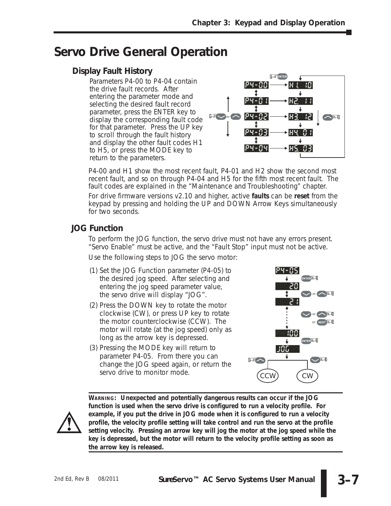### **Servo Drive General Operation**

#### **Display Fault History**

Parameters P4-00 to P4-04 contain the drive fault records. After entering the parameter mode and selecting the desired fault record parameter, press the ENTER key to display the corresponding fault code for that parameter. Press the UP key to scroll through the fault history and display the other fault codes H1 to H5, or press the MODE key to return to the parameters.



P4-00 and H1 show the most recent fault, P4-01 and H2 show the second most recent fault, and so on through P4-04 and H5 for the fifth most recent fault. The fault codes are explained in the "Maintenance and Troubleshooting" chapter.

For drive firmware versions v2.10 and higher, active **faults** can be **reset** from the keypad by pressing and holding the UP and DOWN Arrow Keys simultaneously for two seconds.

#### **JOG Function**

To perform the JOG function, the servo drive must not have any errors present. "Servo Enable" must be active, and the "Fault Stop" input must not be active. Use the following steps to JOG the servo motor:

- (1) Set the JOG Function parameter (P4-05) to the desired jog speed. After selecting and entering the jog speed parameter value, the servo drive will display "JOG".
- (2) Press the DOWN key to rotate the motor clockwise (CW), or press UP key to rotate the motor counterclockwise (CCW). The motor will rotate (at the jog speed) only as long as the arrow key is depressed.
- (3) Pressing the MODE key will return to parameter P4-05. From there you can change the JOG speed again, or return the servo drive to monitor mode.





*WARNING:* **Unexpected and potentially dangerous results can occur if the JOG function is used when the servo drive is configured to run a velocity profile. For example, if you put the drive in JOG mode when it is configured to run a velocity profile, the velocity profile setting will take control and run the servo at the profile setting velocity. Pressing an arrow key will jog the motor at the jog speed while the key is depressed, but the motor will return to the velocity profile setting as soon as the arrow key is released.**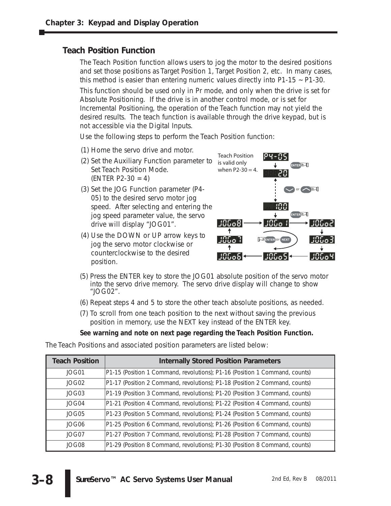#### **Teach Position Function**

The Teach Position function allows users to jog the motor to the desired positions and set those positions as Target Position 1, Target Position 2, etc. In many cases, this method is easier than entering numeric values directly into P1-15 ~ P1-30.

This function should be used only in Pr mode, and only when the drive is set for Absolute Positioning. If the drive is in another control mode, or is set for Incremental Positioning, the operation of the Teach function may not yield the desired results. The teach function is available through the drive keypad, but is not accessible via the Digital Inputs.

Use the following steps to perform the Teach Position function:

- (1) Home the servo drive and motor.
- (2) Set the Auxiliary Function parameter to Set Teach Position Mode.  $(ENTER P2-30 = 4)$
- (3) Set the JOG Function parameter (P4- 05) to the desired servo motor jog speed. After selecting and entering the jog speed parameter value, the servo drive will display "JOG01".
- (4) Use the DOWN or UP arrow keys to jog the servo motor clockwise or counterclockwise to the desired position.



- (5) Press the ENTER key to store the JOG01 absolute position of the servo motor into the servo drive memory. The servo drive display will change to show "JOG02".
- (6) Repeat steps 4 and 5 to store the other teach absolute positions, as needed.
- (7) To scroll from one teach position to the next without saving the previous position in memory, use the NEXT key instead of the ENTER key.

#### **See warning and note on next page regarding the Teach Position Function.**

The Teach Positions and associated position parameters are listed below:

| <b>Teach Position</b> | <b>Internally Stored Position Parameters</b>                                |
|-----------------------|-----------------------------------------------------------------------------|
| JOG01                 | P1-15 (Position 1 Command, revolutions); P1-16 (Position 1 Command, counts) |
| JOG02                 | P1-17 (Position 2 Command, revolutions); P1-18 (Position 2 Command, counts) |
| JOG03                 | P1-19 (Position 3 Command, revolutions); P1-20 (Position 3 Command, counts) |
| JOG04                 | P1-21 (Position 4 Command, revolutions); P1-22 (Position 4 Command, counts) |
| JOG05                 | P1-23 (Position 5 Command, revolutions); P1-24 (Position 5 Command, counts) |
| JOG06                 | P1-25 (Position 6 Command, revolutions); P1-26 (Position 6 Command, counts) |
| JOG07                 | P1-27 (Position 7 Command, revolutions); P1-28 (Position 7 Command, counts) |
| JOG08                 | P1-29 (Position 8 Command, revolutions); P1-30 (Position 8 Command, counts) |

**3–8**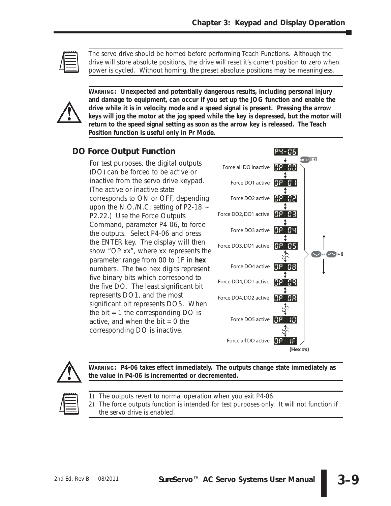

*The servo drive should be homed before performing Teach Functions. Although the drive will store absolute positions, the drive will reset it's current position to zero when power is cycled. Without homing, the preset absolute positions may be meaningless.*



*WARNING:* **Unexpected and potentially dangerous results, including personal injury and damage to equipment, can occur if you set up the JOG function and enable the drive while it is in velocity mode and a speed signal is present. Pressing the arrow keys will jog the motor at the jog speed while the key is depressed, but the motor will return to the speed signal setting as soon as the arrow key is released. The Teach Position function is useful only in Pr Mode.**

#### **DO Force Output Function**

For test purposes, the digital outputs (DO) can be forced to be active or inactive from the servo drive keypad. (The active or inactive state corresponds to ON or OFF, depending upon the N.O./N.C. setting of P2-18 ~ P2.22.) Use the Force Outputs Command, parameter P4-06, to force the outputs. Select P4-06 and press the ENTER key. The display will then show "OP xx", where xx represents the parameter range from 00 to 1F in **hex** numbers. The two hex digits represent five binary bits which correspond to the five DO. The least significant bit represents DO1, and the most significant bit represents DO5. When the bit  $= 1$  the corresponding DO is active, and when the  $bit = 0$  the corresponding DO is inactive.





*WARNING:* **P4-06 takes effect immediately. The outputs change state immediately as the value in P4-06 is incremented or decremented.**



*1) The outputs revert to normal operation when you exit P4-06.*

*2) The force outputs function is intended for test purposes only. It will not function if the servo drive is enabled.*